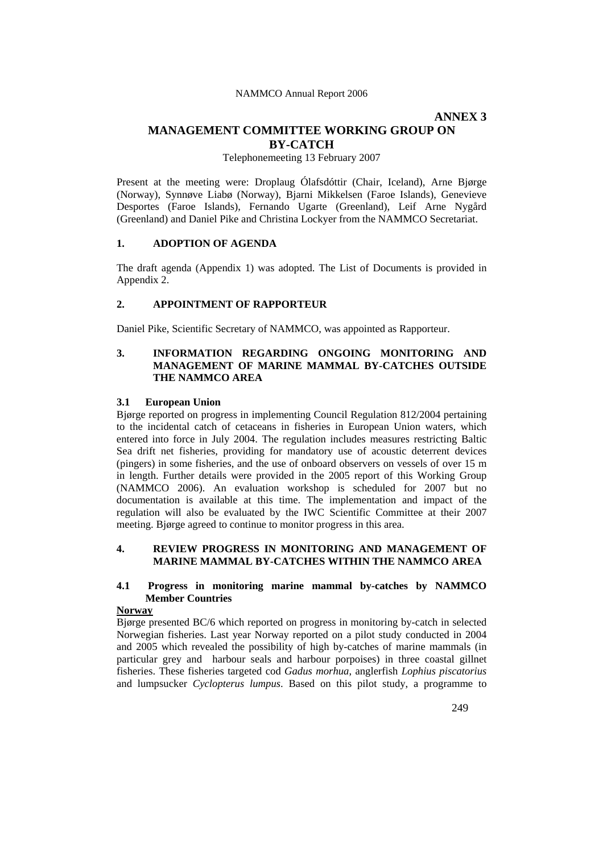# **ANNEX 3**

# **MANAGEMENT COMMITTEE WORKING GROUP ON BY-CATCH**

Telephonemeeting 13 February 2007

Present at the meeting were: Droplaug Ólafsdóttir (Chair, Iceland), Arne Bjørge (Norway), Synnøve Liabø (Norway), Bjarni Mikkelsen (Faroe Islands), Genevieve Desportes (Faroe Islands), Fernando Ugarte (Greenland), Leif Arne Nygård (Greenland) and Daniel Pike and Christina Lockyer from the NAMMCO Secretariat.

#### **1. ADOPTION OF AGENDA**

The draft agenda (Appendix 1) was adopted. The List of Documents is provided in Appendix 2.

## **2. APPOINTMENT OF RAPPORTEUR**

Daniel Pike, Scientific Secretary of NAMMCO, was appointed as Rapporteur.

## **3. INFORMATION REGARDING ONGOING MONITORING AND MANAGEMENT OF MARINE MAMMAL BY-CATCHES OUTSIDE THE NAMMCO AREA**

#### **3.1 European Union**

Bjørge reported on progress in implementing Council Regulation 812/2004 pertaining to the incidental catch of cetaceans in fisheries in European Union waters, which entered into force in July 2004. The regulation includes measures restricting Baltic Sea drift net fisheries, providing for mandatory use of acoustic deterrent devices (pingers) in some fisheries, and the use of onboard observers on vessels of over 15 m in length. Further details were provided in the 2005 report of this Working Group (NAMMCO 2006). An evaluation workshop is scheduled for 2007 but no documentation is available at this time. The implementation and impact of the regulation will also be evaluated by the IWC Scientific Committee at their 2007 meeting. Bjørge agreed to continue to monitor progress in this area.

## **4. REVIEW PROGRESS IN MONITORING AND MANAGEMENT OF MARINE MAMMAL BY-CATCHES WITHIN THE NAMMCO AREA**

## **4.1 Progress in monitoring marine mammal by-catches by NAMMCO Member Countries**

#### **Norway**

Bjørge presented BC/6 which reported on progress in monitoring by-catch in selected Norwegian fisheries. Last year Norway reported on a pilot study conducted in 2004 and 2005 which revealed the possibility of high by-catches of marine mammals (in particular grey and harbour seals and harbour porpoises) in three coastal gillnet fisheries. These fisheries targeted cod *Gadus morhua*, anglerfish *Lophius piscatorius*  and lumpsucker *Cyclopterus lumpus*. Based on this pilot study, a programme to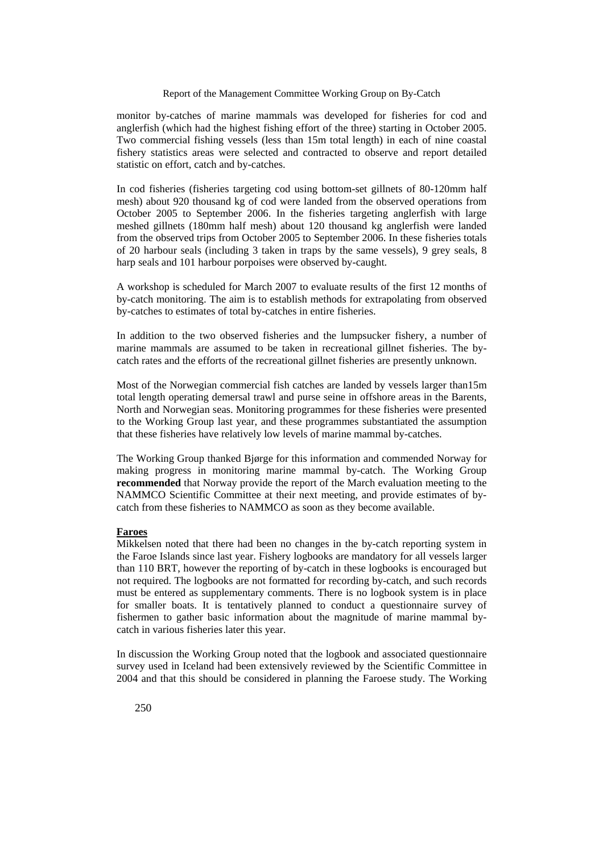## Report of the Management Committee Working Group on By-Catch

monitor by-catches of marine mammals was developed for fisheries for cod and anglerfish (which had the highest fishing effort of the three) starting in October 2005. Two commercial fishing vessels (less than 15m total length) in each of nine coastal fishery statistics areas were selected and contracted to observe and report detailed statistic on effort, catch and by-catches.

In cod fisheries (fisheries targeting cod using bottom-set gillnets of 80-120mm half mesh) about 920 thousand kg of cod were landed from the observed operations from October 2005 to September 2006. In the fisheries targeting anglerfish with large meshed gillnets (180mm half mesh) about 120 thousand kg anglerfish were landed from the observed trips from October 2005 to September 2006. In these fisheries totals of 20 harbour seals (including 3 taken in traps by the same vessels), 9 grey seals, 8 harp seals and 101 harbour porpoises were observed by-caught.

A workshop is scheduled for March 2007 to evaluate results of the first 12 months of by-catch monitoring. The aim is to establish methods for extrapolating from observed by-catches to estimates of total by-catches in entire fisheries.

In addition to the two observed fisheries and the lumpsucker fishery, a number of marine mammals are assumed to be taken in recreational gillnet fisheries. The bycatch rates and the efforts of the recreational gillnet fisheries are presently unknown.

Most of the Norwegian commercial fish catches are landed by vessels larger than15m total length operating demersal trawl and purse seine in offshore areas in the Barents, North and Norwegian seas. Monitoring programmes for these fisheries were presented to the Working Group last year, and these programmes substantiated the assumption that these fisheries have relatively low levels of marine mammal by-catches.

The Working Group thanked Bjørge for this information and commended Norway for making progress in monitoring marine mammal by-catch. The Working Group **recommended** that Norway provide the report of the March evaluation meeting to the NAMMCO Scientific Committee at their next meeting, and provide estimates of bycatch from these fisheries to NAMMCO as soon as they become available.

#### **Faroes**

Mikkelsen noted that there had been no changes in the by-catch reporting system in the Faroe Islands since last year. Fishery logbooks are mandatory for all vessels larger than 110 BRT, however the reporting of by-catch in these logbooks is encouraged but not required. The logbooks are not formatted for recording by-catch, and such records must be entered as supplementary comments. There is no logbook system is in place for smaller boats. It is tentatively planned to conduct a questionnaire survey of fishermen to gather basic information about the magnitude of marine mammal bycatch in various fisheries later this year.

In discussion the Working Group noted that the logbook and associated questionnaire survey used in Iceland had been extensively reviewed by the Scientific Committee in 2004 and that this should be considered in planning the Faroese study. The Working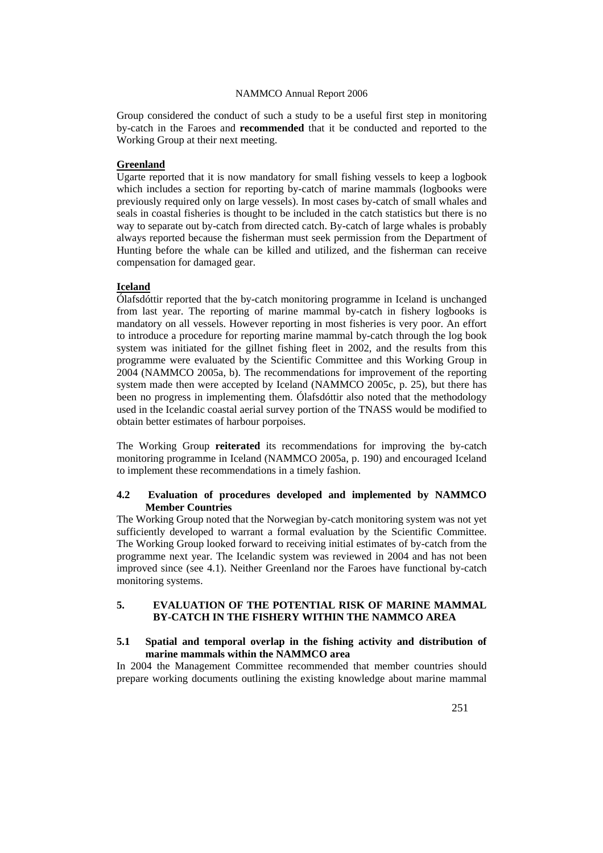Group considered the conduct of such a study to be a useful first step in monitoring by-catch in the Faroes and **recommended** that it be conducted and reported to the Working Group at their next meeting.

#### **Greenland**

Ugarte reported that it is now mandatory for small fishing vessels to keep a logbook which includes a section for reporting by-catch of marine mammals (logbooks were previously required only on large vessels). In most cases by-catch of small whales and seals in coastal fisheries is thought to be included in the catch statistics but there is no way to separate out by-catch from directed catch. By-catch of large whales is probably always reported because the fisherman must seek permission from the Department of Hunting before the whale can be killed and utilized, and the fisherman can receive compensation for damaged gear.

# **Iceland**

Ólafsdóttir reported that the by-catch monitoring programme in Iceland is unchanged from last year. The reporting of marine mammal by-catch in fishery logbooks is mandatory on all vessels. However reporting in most fisheries is very poor. An effort to introduce a procedure for reporting marine mammal by-catch through the log book system was initiated for the gillnet fishing fleet in 2002, and the results from this programme were evaluated by the Scientific Committee and this Working Group in 2004 (NAMMCO 2005a, b). The recommendations for improvement of the reporting system made then were accepted by Iceland (NAMMCO 2005c, p. 25), but there has been no progress in implementing them. Ólafsdóttir also noted that the methodology used in the Icelandic coastal aerial survey portion of the TNASS would be modified to obtain better estimates of harbour porpoises.

The Working Group **reiterated** its recommendations for improving the by-catch monitoring programme in Iceland (NAMMCO 2005a, p. 190) and encouraged Iceland to implement these recommendations in a timely fashion.

## **4.2 Evaluation of procedures developed and implemented by NAMMCO Member Countries**

The Working Group noted that the Norwegian by-catch monitoring system was not yet sufficiently developed to warrant a formal evaluation by the Scientific Committee. The Working Group looked forward to receiving initial estimates of by-catch from the programme next year. The Icelandic system was reviewed in 2004 and has not been improved since (see 4.1). Neither Greenland nor the Faroes have functional by-catch monitoring systems.

### **5. EVALUATION OF THE POTENTIAL RISK OF MARINE MAMMAL BY-CATCH IN THE FISHERY WITHIN THE NAMMCO AREA**

#### **5.1 Spatial and temporal overlap in the fishing activity and distribution of marine mammals within the NAMMCO area**

In 2004 the Management Committee recommended that member countries should prepare working documents outlining the existing knowledge about marine mammal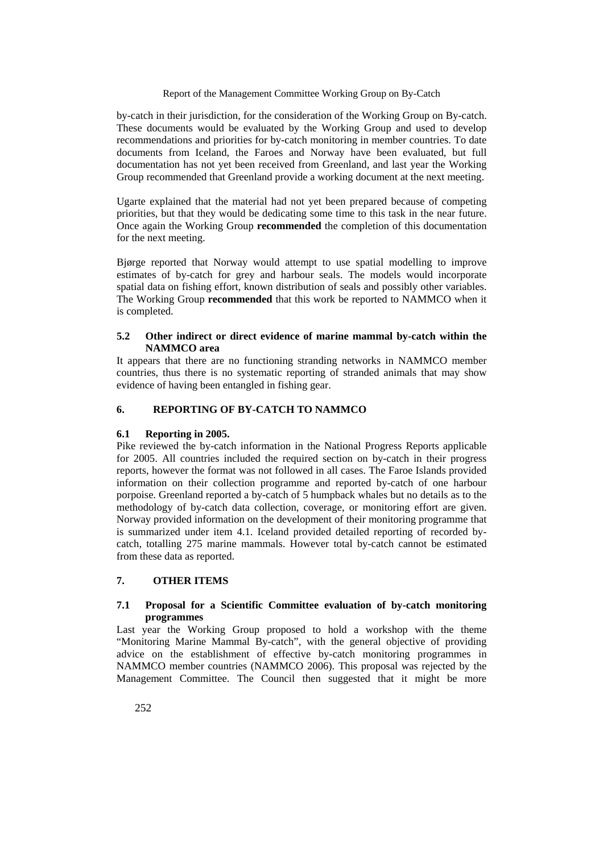## Report of the Management Committee Working Group on By-Catch

by-catch in their jurisdiction, for the consideration of the Working Group on By-catch. These documents would be evaluated by the Working Group and used to develop recommendations and priorities for by-catch monitoring in member countries. To date documents from Iceland, the Faroes and Norway have been evaluated, but full documentation has not yet been received from Greenland, and last year the Working Group recommended that Greenland provide a working document at the next meeting.

Ugarte explained that the material had not yet been prepared because of competing priorities, but that they would be dedicating some time to this task in the near future. Once again the Working Group **recommended** the completion of this documentation for the next meeting.

Bjørge reported that Norway would attempt to use spatial modelling to improve estimates of by-catch for grey and harbour seals. The models would incorporate spatial data on fishing effort, known distribution of seals and possibly other variables. The Working Group **recommended** that this work be reported to NAMMCO when it is completed.

## **5.2 Other indirect or direct evidence of marine mammal by-catch within the NAMMCO area**

It appears that there are no functioning stranding networks in NAMMCO member countries, thus there is no systematic reporting of stranded animals that may show evidence of having been entangled in fishing gear.

## **6. REPORTING OF BY-CATCH TO NAMMCO**

## **6.1 Reporting in 2005.**

Pike reviewed the by-catch information in the National Progress Reports applicable for 2005. All countries included the required section on by-catch in their progress reports, however the format was not followed in all cases. The Faroe Islands provided information on their collection programme and reported by-catch of one harbour porpoise. Greenland reported a by-catch of 5 humpback whales but no details as to the methodology of by-catch data collection, coverage, or monitoring effort are given. Norway provided information on the development of their monitoring programme that is summarized under item 4.1. Iceland provided detailed reporting of recorded bycatch, totalling 275 marine mammals. However total by-catch cannot be estimated from these data as reported.

# **7. OTHER ITEMS**

## **7.1 Proposal for a Scientific Committee evaluation of by-catch monitoring programmes**

Last year the Working Group proposed to hold a workshop with the theme "Monitoring Marine Mammal By-catch", with the general objective of providing advice on the establishment of effective by-catch monitoring programmes in NAMMCO member countries (NAMMCO 2006). This proposal was rejected by the Management Committee. The Council then suggested that it might be more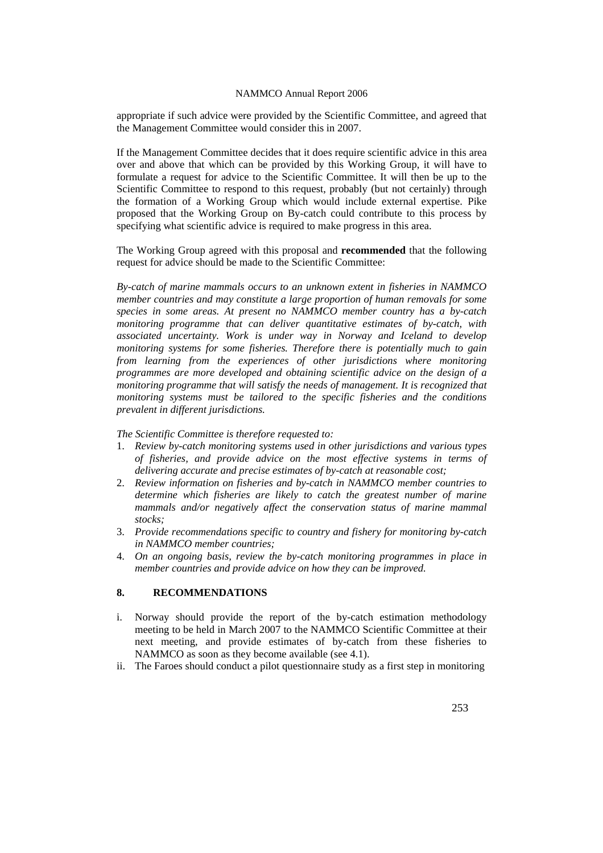appropriate if such advice were provided by the Scientific Committee, and agreed that the Management Committee would consider this in 2007.

If the Management Committee decides that it does require scientific advice in this area over and above that which can be provided by this Working Group, it will have to formulate a request for advice to the Scientific Committee. It will then be up to the Scientific Committee to respond to this request, probably (but not certainly) through the formation of a Working Group which would include external expertise. Pike proposed that the Working Group on By-catch could contribute to this process by specifying what scientific advice is required to make progress in this area.

The Working Group agreed with this proposal and **recommended** that the following request for advice should be made to the Scientific Committee:

*By-catch of marine mammals occurs to an unknown extent in fisheries in NAMMCO member countries and may constitute a large proportion of human removals for some species in some areas. At present no NAMMCO member country has a by-catch monitoring programme that can deliver quantitative estimates of by-catch, with associated uncertainty. Work is under way in Norway and Iceland to develop monitoring systems for some fisheries. Therefore there is potentially much to gain from learning from the experiences of other jurisdictions where monitoring programmes are more developed and obtaining scientific advice on the design of a monitoring programme that will satisfy the needs of management. It is recognized that monitoring systems must be tailored to the specific fisheries and the conditions prevalent in different jurisdictions.* 

*The Scientific Committee is therefore requested to:* 

- 1. *Review by-catch monitoring systems used in other jurisdictions and various types of fisheries, and provide advice on the most effective systems in terms of delivering accurate and precise estimates of by-catch at reasonable cost;*
- 2. *Review information on fisheries and by-catch in NAMMCO member countries to determine which fisheries are likely to catch the greatest number of marine mammals and/or negatively affect the conservation status of marine mammal stocks;*
- 3. *Provide recommendations specific to country and fishery for monitoring by-catch in NAMMCO member countries;*
- 4. *On an ongoing basis, review the by-catch monitoring programmes in place in member countries and provide advice on how they can be improved.*

# **8. RECOMMENDATIONS**

- i. Norway should provide the report of the by-catch estimation methodology meeting to be held in March 2007 to the NAMMCO Scientific Committee at their next meeting, and provide estimates of by-catch from these fisheries to NAMMCO as soon as they become available (see 4.1).
- ii. The Faroes should conduct a pilot questionnaire study as a first step in monitoring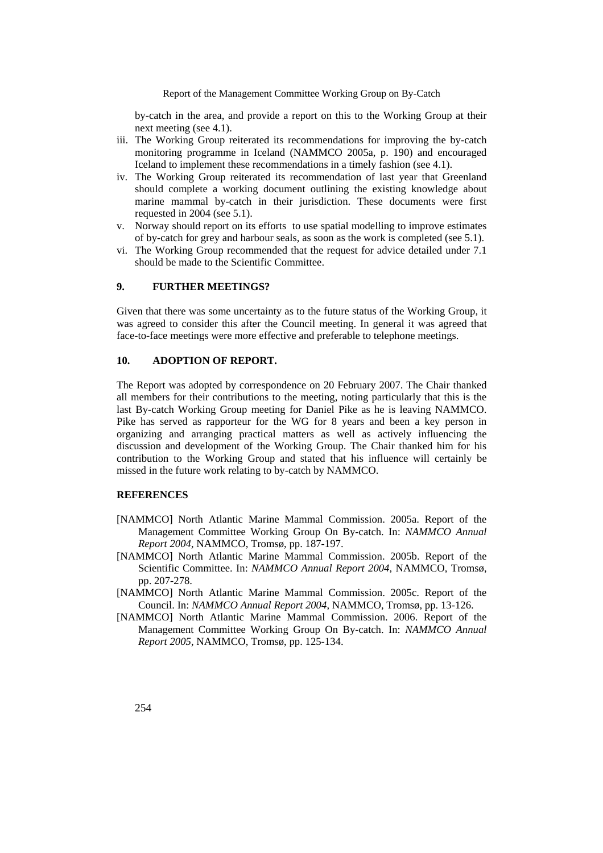Report of the Management Committee Working Group on By-Catch

by-catch in the area, and provide a report on this to the Working Group at their next meeting (see 4.1).

- iii. The Working Group reiterated its recommendations for improving the by-catch monitoring programme in Iceland (NAMMCO 2005a, p. 190) and encouraged Iceland to implement these recommendations in a timely fashion (see 4.1).
- iv. The Working Group reiterated its recommendation of last year that Greenland should complete a working document outlining the existing knowledge about marine mammal by-catch in their jurisdiction. These documents were first requested in 2004 (see 5.1).
- v. Norway should report on its efforts to use spatial modelling to improve estimates of by-catch for grey and harbour seals, as soon as the work is completed (see 5.1).
- vi. The Working Group recommended that the request for advice detailed under 7.1 should be made to the Scientific Committee.

#### **9. FURTHER MEETINGS?**

Given that there was some uncertainty as to the future status of the Working Group, it was agreed to consider this after the Council meeting. In general it was agreed that face-to-face meetings were more effective and preferable to telephone meetings.

## **10. ADOPTION OF REPORT.**

The Report was adopted by correspondence on 20 February 2007. The Chair thanked all members for their contributions to the meeting, noting particularly that this is the last By-catch Working Group meeting for Daniel Pike as he is leaving NAMMCO. Pike has served as rapporteur for the WG for 8 years and been a key person in organizing and arranging practical matters as well as actively influencing the discussion and development of the Working Group. The Chair thanked him for his contribution to the Working Group and stated that his influence will certainly be missed in the future work relating to by-catch by NAMMCO.

#### **REFERENCES**

- [NAMMCO] North Atlantic Marine Mammal Commission. 2005a. Report of the Management Committee Working Group On By-catch. In: *NAMMCO Annual Report 2004*, NAMMCO, Tromsø, pp. 187-197.
- [NAMMCO] North Atlantic Marine Mammal Commission. 2005b. Report of the Scientific Committee. In: *NAMMCO Annual Report 2004*, NAMMCO, Tromsø, pp. 207-278.
- [NAMMCO] North Atlantic Marine Mammal Commission. 2005c. Report of the Council. In: *NAMMCO Annual Report 2004*, NAMMCO, Tromsø, pp. 13-126.
- [NAMMCO] North Atlantic Marine Mammal Commission. 2006. Report of the Management Committee Working Group On By-catch. In: *NAMMCO Annual Report 2005*, NAMMCO, Tromsø, pp. 125-134.